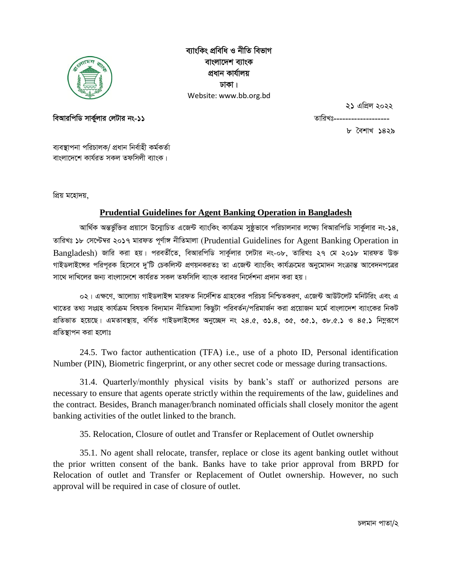

ব্যাংকিং প্ৰবিধি ও নীতি বিভাগ বাংলাদেশ ব্যাংক প্ৰধান কাৰ্যালয় ঢাকা। Website: www.bb.org.bd

২১ এপ্রিল ২০২২

বিআরপিডি সার্কুলার লেটার নং-১১

তারিখঃ----

৮ বৈশাখ ১৪২৯

ব্যবস্থাপনা পরিচালক/ প্রধান নির্বাহী কর্মকর্তা বাংলাদেশে কাৰ্যৱত সকল তফসিলী ব্যাংক।

প্রিয় মহোদয়,

# **Prudential Guidelines for Agent Banking Operation in Bangladesh**

আর্থিক অন্তর্ভুক্তির প্রয়াসে উন্মোচিত এজেন্ট ব্যাংকিং কার্যক্রম সুষ্ঠভাবে পরিচালনার লক্ষ্যে বিআরপিডি সার্কুলার নং-১৪, তারিখঃ ১৮ সেপ্টেম্বর ২০১৭ মারফত পূর্ণাঙ্গ নীতিমালা (Prudential Guidelines for Agent Banking Operation in Bangladesh) জারি করা হয়। পরবর্তীতে, বিআরপিডি সার্কুলার লেটার নং-০৮, তারিখঃ ২৭ মে ২০১৮ মারফত উক্ত গাইডলাইন্সের পরিপরক হিসেবে দু'টি চেকলিস্ট প্রণয়নকরতঃ তা এজেন্ট ব্যাংকিং কার্যক্রমের অনুমোদন সংক্রান্ত আবেদনপত্রের সাথে দাখিলের জন্য বাংলাদেশে কার্যরত সকল তফসিলি ব্যাংক বরাবর নির্দেশনা প্রদান করা হয়।

০২। এক্ষণে, আলোচ্য গাইডলাইন্স মারফত নির্দেশিত গ্রাহকের পরিচয় নিশ্চিতকরণ, এজেন্ট আউটলেট মনিটরিং এবং এ খাতের তথ্য সংগ্রহ কার্যক্রম বিষয়ক বিদ্যমান নীতিমালা কিছুটা পরিবর্তন/পরিমার্জন করা প্রয়োজন মর্মে বাংলাদেশ ব্যাংকের নিকট প্রতিভাত হয়েছে। এমতাবস্থায়, বর্ণিত গাইডলাইন্সের অনুচ্ছেদ নং ২৪.৫, ৩১.৪, ৩৫, ৩৫.১, ৩৮.৫.১ ও ৪৫.১ নিম্নরূপে প্রতিস্থাপন করা হলোঃ

24.5. Two factor authentication (TFA) i.e., use of a photo ID, Personal identification Number (PIN), Biometric fingerprint, or any other secret code or message during transactions.

31.4. Quarterly/monthly physical visits by bank's staff or authorized persons are necessary to ensure that agents operate strictly within the requirements of the law, guidelines and the contract. Besides, Branch manager/branch nominated officials shall closely monitor the agent banking activities of the outlet linked to the branch.

35. Relocation, Closure of outlet and Transfer or Replacement of Outlet ownership

35.1. No agent shall relocate, transfer, replace or close its agent banking outlet without the prior written consent of the bank. Banks have to take prior approval from BRPD for Relocation of outlet and Transfer or Replacement of Outlet ownership. However, no such approval will be required in case of closure of outlet.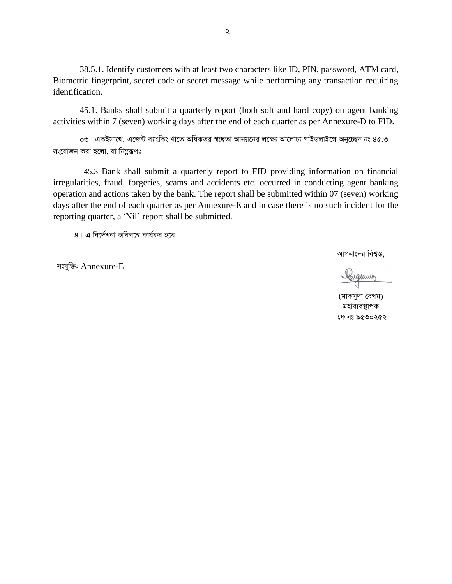38.5.1. Identify customers with at least two characters like ID, PIN, password, ATM card, Biometric fingerprint, secret code or secret message while performing any transaction requiring identification.

45.1. Banks shall submit a quarterly report (both soft and hard copy) on agent banking activities within 7 (seven) working days after the end of each quarter as per Annexure-D to FID.

 $\circ$ ৩। একইসাথে, এজেন্ট ব্যাংকিং খাতে অধিকতর স্বচ্ছতা আনয়নের লক্ষ্যে আলোচ্য গাইডলাইঙ্গে অনুচ্ছেদ নং ৪৫.৩ *সং*যোজন করা হলো, যা নিমুরূপঃ

 45.3 Bank shall submit a quarterly report to FID providing information on financial irregularities, fraud, forgeries, scams and accidents etc. occurred in conducting agent banking operation and actions taken by the bank. The report shall be submitted within 07 (seven) working days after the end of each quarter as per Annexure-E and in case there is no such incident for the reporting quarter, a 'Nil' report shall be submitted.

 $8$ । এ নির্দেশনা অবিলম্বে কার্যকর হবে।

*mshyw³:* Annexure-E

*আপনাদে*র বিশ্বস্ত,

Abequining

*(*মাকসুদা বেগম) *মহাব্যবস্থাপক ‡dvbt 9530252*